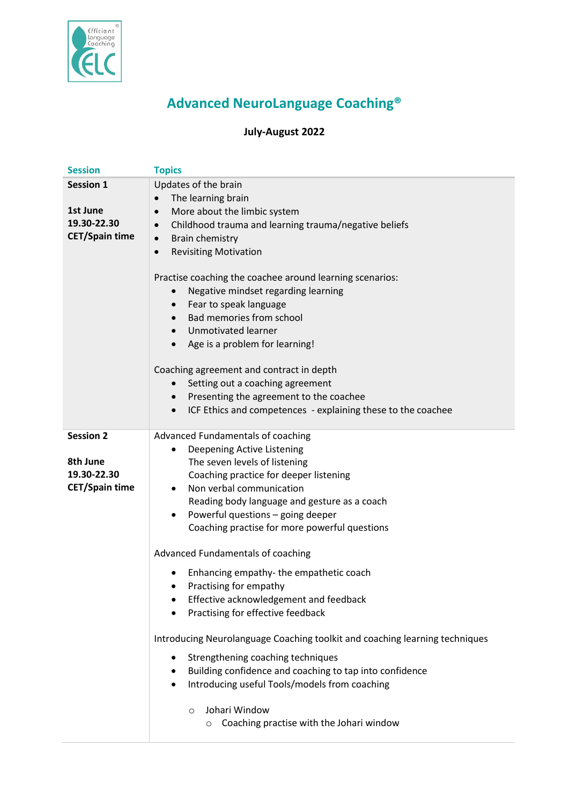

## **Advanced NeuroLanguage Coaching®**

## **July-August 2022**

| <b>Session</b>        | <b>Topics</b>                                                               |
|-----------------------|-----------------------------------------------------------------------------|
| <b>Session 1</b>      | Updates of the brain                                                        |
|                       | The learning brain<br>$\bullet$                                             |
| 1st June              | More about the limbic system<br>$\bullet$                                   |
| 19.30-22.30           | Childhood trauma and learning trauma/negative beliefs<br>$\bullet$          |
| <b>CET/Spain time</b> | Brain chemistry<br>$\bullet$                                                |
|                       | <b>Revisiting Motivation</b><br>$\bullet$                                   |
|                       |                                                                             |
|                       | Practise coaching the coachee around learning scenarios:                    |
|                       | Negative mindset regarding learning<br>$\bullet$                            |
|                       | Fear to speak language<br>$\bullet$                                         |
|                       | Bad memories from school<br>$\bullet$                                       |
|                       | Unmotivated learner                                                         |
|                       | Age is a problem for learning!<br>$\bullet$                                 |
|                       |                                                                             |
|                       | Coaching agreement and contract in depth                                    |
|                       | Setting out a coaching agreement<br>$\bullet$                               |
|                       | Presenting the agreement to the coachee<br>$\bullet$                        |
|                       | ICF Ethics and competences - explaining these to the coachee<br>$\bullet$   |
|                       |                                                                             |
| <b>Session 2</b>      | Advanced Fundamentals of coaching                                           |
|                       | Deepening Active Listening<br>$\bullet$                                     |
| 8th June              | The seven levels of listening                                               |
| 19.30-22.30           | Coaching practice for deeper listening                                      |
| <b>CET/Spain time</b> | Non verbal communication<br>$\bullet$                                       |
|                       | Reading body language and gesture as a coach                                |
|                       | Powerful questions - going deeper<br>$\bullet$                              |
|                       | Coaching practise for more powerful questions                               |
|                       |                                                                             |
|                       | Advanced Fundamentals of coaching                                           |
|                       | Enhancing empathy-the empathetic coach                                      |
|                       | Practising for empathy                                                      |
|                       | Effective acknowledgement and feedback<br>٠                                 |
|                       | Practising for effective feedback                                           |
|                       |                                                                             |
|                       | Introducing Neurolanguage Coaching toolkit and coaching learning techniques |
|                       | Strengthening coaching techniques<br>٠                                      |
|                       | Building confidence and coaching to tap into confidence                     |
|                       | Introducing useful Tools/models from coaching<br>٠                          |
|                       |                                                                             |
|                       | Johari Window<br>$\circ$                                                    |
|                       | Coaching practise with the Johari window<br>$\circ$                         |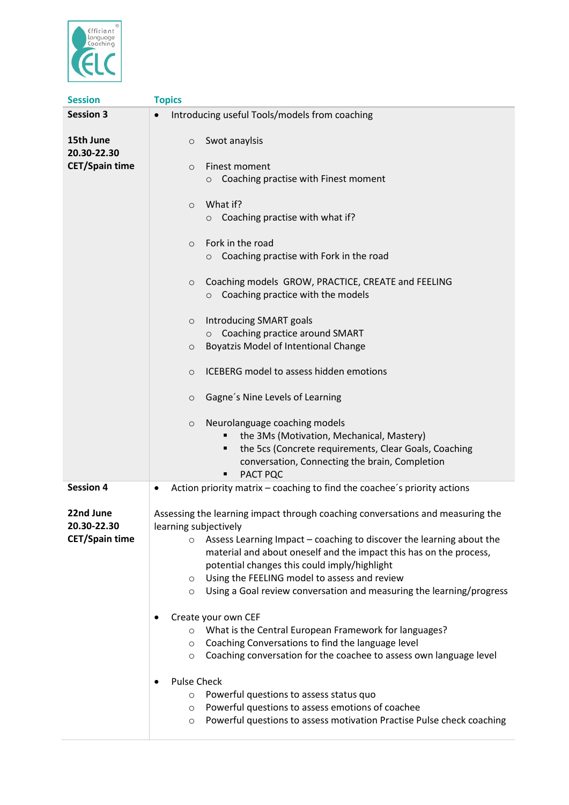

| <b>Session</b>                       | <b>Topics</b>                                                                                                                                                                                                                                                                                                                                                          |
|--------------------------------------|------------------------------------------------------------------------------------------------------------------------------------------------------------------------------------------------------------------------------------------------------------------------------------------------------------------------------------------------------------------------|
| <b>Session 3</b>                     | Introducing useful Tools/models from coaching                                                                                                                                                                                                                                                                                                                          |
| 15th June<br>20.30-22.30             | Swot anaylsis<br>$\circ$                                                                                                                                                                                                                                                                                                                                               |
| <b>CET/Spain time</b>                | Finest moment<br>$\circ$<br>Coaching practise with Finest moment<br>$\circ$                                                                                                                                                                                                                                                                                            |
|                                      | What if?<br>$\circ$<br>Coaching practise with what if?<br>$\circ$                                                                                                                                                                                                                                                                                                      |
|                                      | Fork in the road<br>$\circ$<br>Coaching practise with Fork in the road<br>$\circ$                                                                                                                                                                                                                                                                                      |
|                                      | Coaching models GROW, PRACTICE, CREATE and FEELING<br>$\circ$<br>Coaching practice with the models<br>$\circ$                                                                                                                                                                                                                                                          |
|                                      | Introducing SMART goals<br>$\circ$                                                                                                                                                                                                                                                                                                                                     |
|                                      | Coaching practice around SMART<br>$\circ$                                                                                                                                                                                                                                                                                                                              |
|                                      | <b>Boyatzis Model of Intentional Change</b><br>$\circ$                                                                                                                                                                                                                                                                                                                 |
|                                      | ICEBERG model to assess hidden emotions<br>$\Omega$                                                                                                                                                                                                                                                                                                                    |
|                                      | Gagne's Nine Levels of Learning<br>$\circ$                                                                                                                                                                                                                                                                                                                             |
|                                      | Neurolanguage coaching models<br>$\circ$<br>the 3Ms (Motivation, Mechanical, Mastery)<br>the 5cs (Concrete requirements, Clear Goals, Coaching<br>п<br>conversation, Connecting the brain, Completion<br>PACT PQC                                                                                                                                                      |
| <b>Session 4</b>                     | Action priority matrix - coaching to find the coachee's priority actions                                                                                                                                                                                                                                                                                               |
| 22nd June                            | Assessing the learning impact through coaching conversations and measuring the                                                                                                                                                                                                                                                                                         |
| 20.30-22.30<br><b>CET/Spain time</b> | learning subjectively<br>Assess Learning Impact - coaching to discover the learning about the<br>O<br>material and about oneself and the impact this has on the process,<br>potential changes this could imply/highlight<br>Using the FEELING model to assess and review<br>$\circ$<br>Using a Goal review conversation and measuring the learning/progress<br>$\circ$ |
|                                      | Create your own CEF<br>What is the Central European Framework for languages?<br>Coaching Conversations to find the language level<br>$\circ$<br>Coaching conversation for the coachee to assess own language level<br>$\circ$                                                                                                                                          |
|                                      | <b>Pulse Check</b><br>Powerful questions to assess status quo<br>$\circ$<br>Powerful questions to assess emotions of coachee<br>$\circ$<br>Powerful questions to assess motivation Practise Pulse check coaching<br>$\circ$                                                                                                                                            |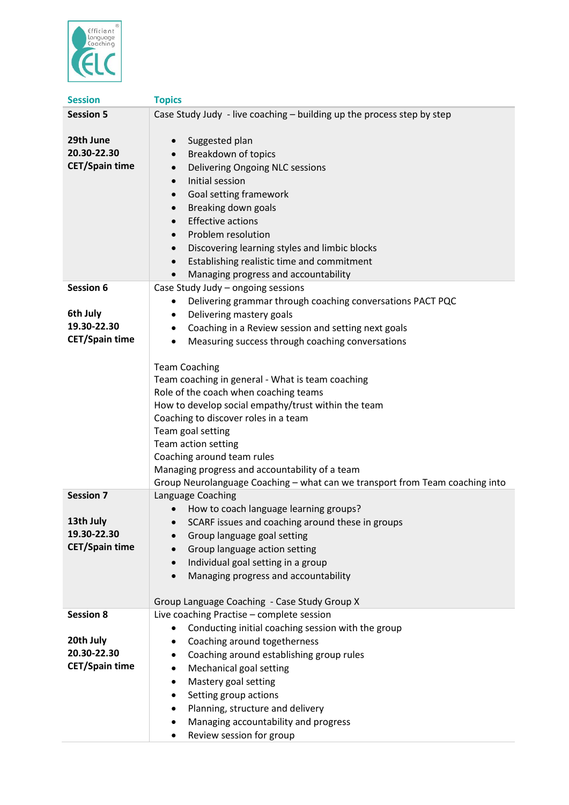

| <b>Session</b>          | <b>Topics</b>                                                                |
|-------------------------|------------------------------------------------------------------------------|
| <b>Session 5</b>        | Case Study Judy - live coaching - building up the process step by step       |
|                         |                                                                              |
| 29th June               | Suggested plan<br>$\bullet$                                                  |
| 20.30-22.30             | Breakdown of topics                                                          |
| <b>CET/Spain time</b>   | Delivering Ongoing NLC sessions<br>$\bullet$                                 |
|                         | Initial session<br>$\bullet$                                                 |
|                         | Goal setting framework<br>$\bullet$                                          |
|                         | Breaking down goals<br>$\bullet$                                             |
|                         | <b>Effective actions</b><br>$\bullet$                                        |
|                         | Problem resolution<br>$\bullet$                                              |
|                         | Discovering learning styles and limbic blocks<br>$\bullet$                   |
|                         | Establishing realistic time and commitment<br>$\bullet$                      |
|                         | Managing progress and accountability<br>$\bullet$                            |
| <b>Session 6</b>        | Case Study Judy - ongoing sessions                                           |
|                         | Delivering grammar through coaching conversations PACT PQC<br>$\bullet$      |
| 6th July<br>19.30-22.30 | Delivering mastery goals                                                     |
| <b>CET/Spain time</b>   | Coaching in a Review session and setting next goals<br>٠                     |
|                         | Measuring success through coaching conversations<br>$\bullet$                |
|                         | <b>Team Coaching</b>                                                         |
|                         | Team coaching in general - What is team coaching                             |
|                         | Role of the coach when coaching teams                                        |
|                         | How to develop social empathy/trust within the team                          |
|                         | Coaching to discover roles in a team                                         |
|                         | Team goal setting                                                            |
|                         | Team action setting                                                          |
|                         | Coaching around team rules                                                   |
|                         | Managing progress and accountability of a team                               |
|                         | Group Neurolanguage Coaching - what can we transport from Team coaching into |
| <b>Session 7</b>        | Language Coaching                                                            |
|                         | How to coach language learning groups?                                       |
| 13th July               | SCARF issues and coaching around these in groups                             |
| 19.30-22.30             | Group language goal setting                                                  |
| <b>CET/Spain time</b>   | Group language action setting                                                |
|                         | Individual goal setting in a group<br>$\bullet$                              |
|                         | Managing progress and accountability<br>$\bullet$                            |
|                         | Group Language Coaching - Case Study Group X                                 |
| <b>Session 8</b>        | Live coaching Practise - complete session                                    |
|                         | Conducting initial coaching session with the group                           |
| 20th July               | Coaching around togetherness<br>٠                                            |
| 20.30-22.30             | Coaching around establishing group rules<br>$\bullet$                        |
| <b>CET/Spain time</b>   | Mechanical goal setting<br>$\bullet$                                         |
|                         | Mastery goal setting<br>$\bullet$                                            |
|                         | Setting group actions<br>$\bullet$                                           |
|                         | Planning, structure and delivery<br>٠                                        |
|                         | Managing accountability and progress                                         |
|                         | Review session for group<br>٠                                                |